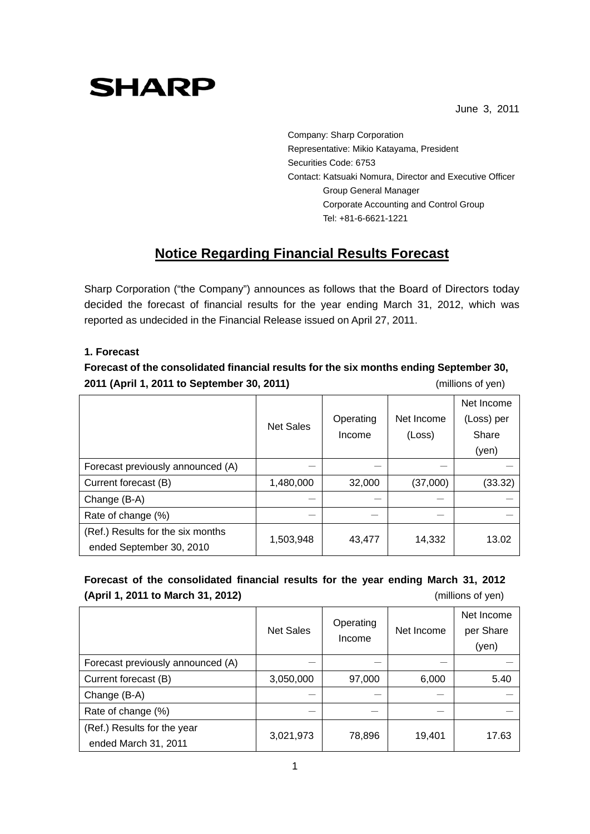# **SHARP**

June 3, 2011

Company: Sharp Corporation Representative: Mikio Katayama, President Securities Code: 6753 Contact: Katsuaki Nomura, Director and Executive Officer Group General Manager Corporate Accounting and Control Group Tel: +81-6-6621-1221

# **Notice Regarding Financial Results Forecast**

Sharp Corporation ("the Company") announces as follows that the Board of Directors today decided the forecast of financial results for the year ending March 31, 2012, which was reported as undecided in the Financial Release issued on April 27, 2011.

## **1. Forecast**

**Forecast of the consolidated financial results for the six months ending September 30, 2011 (April 1, 2011 to September 30, 2011)** (millions of yen)

|                                   |                  |           |            | Net Income |
|-----------------------------------|------------------|-----------|------------|------------|
|                                   | <b>Net Sales</b> | Operating | Net Income | (Loss) per |
|                                   |                  | Income    | (Loss)     | Share      |
|                                   |                  |           |            | (yen)      |
| Forecast previously announced (A) |                  |           |            |            |
| Current forecast (B)              | 1,480,000        | 32,000    | (37,000)   | (33.32)    |
| Change (B-A)                      |                  |           |            |            |
| Rate of change (%)                |                  |           |            |            |
| (Ref.) Results for the six months | 1,503,948        | 43,477    | 14,332     | 13.02      |
| ended September 30, 2010          |                  |           |            |            |

# **Forecast of the consolidated financial results for the year ending March 31, 2012 (April 1, 2011 to March 31, 2012)** (millions of yen)

|                                   | <b>Net Sales</b> | Operating<br>Income | Net Income | Net Income<br>per Share<br>(yen) |
|-----------------------------------|------------------|---------------------|------------|----------------------------------|
| Forecast previously announced (A) |                  |                     |            |                                  |
| Current forecast (B)              | 3,050,000        | 97,000              | 6,000      | 5.40                             |
| Change (B-A)                      |                  |                     |            |                                  |
| Rate of change (%)                |                  |                     |            |                                  |
| (Ref.) Results for the year       | 3,021,973        | 78,896              | 19,401     | 17.63                            |
| ended March 31, 2011              |                  |                     |            |                                  |